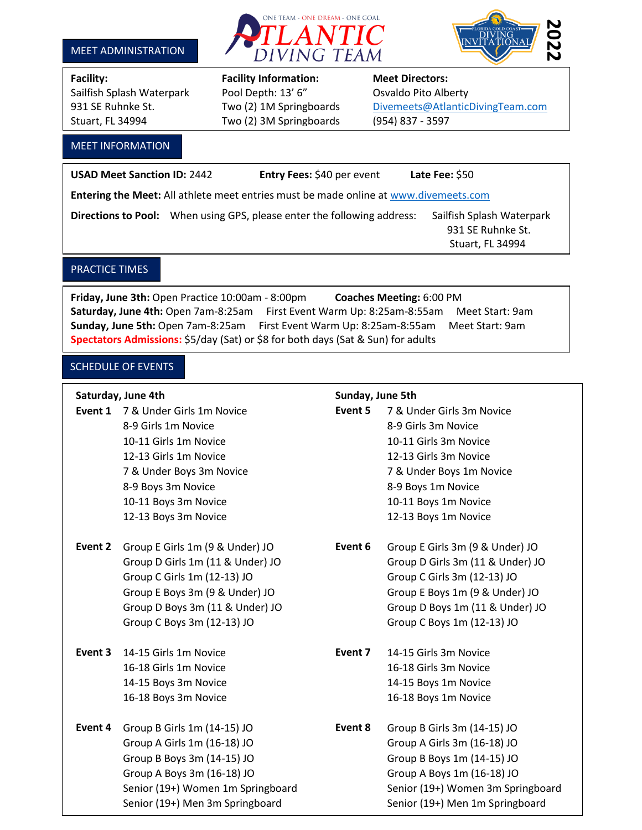





Sailfish Splash Waterpark Pool Depth: 13' 6" Osvaldo Pito Alberty Stuart, FL 34994 Two (2) 3M Springboards (954) 837 - 3597

# **Facility: Facility Information: Meet Directors:**

## 931 SE Ruhnke St. Two (2) 1M Springboards [Divemeets@AtlanticDivingTeam.com](mailto:Divemeets@AtlanticDivingTeam.com)

l

## MEET INFORMATION

**USAD Meet Sanction ID:** 2442 **Entry Fees:** \$40 per event **Late Fee:** \$50 **Entering the Meet:** All athlete meet entries must be made online at [www.divemeets.com](http://www.divemeets.com/) Directions to Pool: When using GPS, please enter the following address: Sailfish Splash Waterpark 931 SE Ruhnke St. Stuart, FL 34994

## PRACTICE TIMES

**Friday, June 3th:** Open Practice 10:00am - 8:00pm **Coaches Meeting:** 6:00 PM **Saturday, June 4th:** Open 7am-8:25am First Event Warm Up: 8:25am-8:55am Meet Start: 9am **Sunday, June 5th:** Open 7am-8:25am First Event Warm Up: 8:25am-8:55am Meet Start: 9am **Spectators Admissions:** \$5/day (Sat) or \$8 for both days (Sat & Sun) for adults

## SCHEDULE OF EVENTS

## **Saturday, June 4th Sunday, June 5th**

**Event 1** 7 & Under Girls 1m Novice **Event 5** 7 & Under Girls 3m Novice

- **Event 2** Group E Girls 1m (9 & Under) JO **Event 6** Group E Girls 3m (9 & Under) JO
- 
- **Event 4** Group B Girls 1m (14-15) JO **Event 8** Group B Girls 3m (14-15) JO

- 8-9 Girls 1m Novice **8-9 Girls 3m Novice** 10-11 Girls 1m Novice 10-11 Girls 3m Novice 12-13 Girls 1m Novice 12-13 Girls 3m Novice 7 & Under Boys 3m Novice 7 & Under Boys 1m Novice 8-9 Boys 3m Novice 8-9 Boys 1m Novice 10-11 Boys 3m Novice 10-11 Boys 1m Novice 12-13 Boys 3m Novice 12-13 Boys 1m Novice
- Group D Girls 1m (11 & Under) JO Group D Girls 3m (11 & Under) JO Group C Girls 1m (12-13) JO Group C Girls 3m (12-13) JO Group E Boys 3m (9 & Under) JO Group E Boys 1m (9 & Under) JO Group D Boys 3m (11 & Under) JO Group D Boys 1m (11 & Under) JO Group C Boys 3m (12-13) JO Group C Boys 1m (12-13) JO
- **Event 3** 14-15 Girls 1m Novice **Event 7** 14-15 Girls 3m Novice 16-18 Girls 1m Novice 16-18 Girls 3m Novice 14-15 Boys 3m Novice 14-15 Boys 1m Novice 16-18 Boys 3m Novice 16-18 Boys 1m Novice
	- Group A Girls 1m (16-18) JO Group A Girls 3m (16-18) JO Group B Boys 3m (14-15) JO Group B Boys 1m (14-15) JO Group A Boys 3m (16-18) JO Group A Boys 1m (16-18) JO Senior (19+) Women 1m Springboard Senior (19+) Women 3m Springboard Senior (19+) Men 3m Springboard Senior (19+) Men 1m Springboard